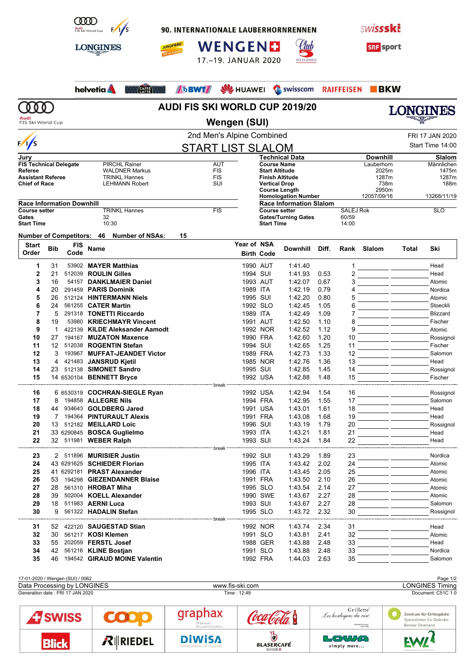

90. INTERNATIONALE LAUBERHORNRENNEN

WENGEND

17.-19. JANUAR 2020

**BWT** SV HUAWEI Swisscom



**SRF** sport

**BKW** 

**Technical Data Downhill Slalom Course Name** Lauberhorn Männlichen **Start Altitude** 2025m **1475m**<br> **Start Altitude** 2025m 1475m<br> **Finish Altitude** 1287m 1287m **Finish Altitude** 1287m 1287m 1287m 1287m 1287m 1287m 1287m 1287m 1287m 1287m 1297m 1297m 1297m 1297m 1298m 1298m 1298m 1298m 1298m 1298m 1298m 1298m 1298m 1298m 1298m 1298m 1298m 1298m 1298m 1298m 1298m 1298m 1298m 1298m

**RAIFFEISEN** 

**Homologation Number** 12057/09/16 13268/11/19

**Course setter** SALEJ Rok SLO<br>
Gates/Turning Gates 60/59

**Vertical Drop** 738m<br> **Course Length** 2950m **Course Length** 2950m<br> **Homologation Number** 2057/09/16

**Race Information Slalom**

**Start Time** 

Gates/Turning Gates 60/59<br>Start Time 14:00

Llub



helvetia A

**AUDI FIS SKI WORLD CUP 2019/20**



**Audi**<br>FIS Ski World Cup

 $\omega$ 

## 2nd Men's Alpine Combined FRI 17 JAN 2020 **Wengen (SUI)**

|  | FNI II JAN ZUZU  |
|--|------------------|
|  | Start Time 14:00 |

|                               |                       | <b>LIN MULLS APPLIC COLLIDITION</b> |                                          |  |  |  |
|-------------------------------|-----------------------|-------------------------------------|------------------------------------------|--|--|--|
| $\sqrt{s}$                    |                       | <b>START LIST SLALOM</b>            |                                          |  |  |  |
| Jury                          |                       |                                     | <b>Technical D</b>                       |  |  |  |
| <b>FIS Technical Delegate</b> | <b>PIRCHL Rainer</b>  | AUT                                 | <b>Course Name</b>                       |  |  |  |
| Referee                       | <b>WALDNER Markus</b> | <b>FIS</b>                          | <b>Start Altitude</b>                    |  |  |  |
| <b>Assistant Referee</b>      | <b>TRINKL Hannes</b>  | <b>FIS</b>                          | <b>Finish Altitud</b>                    |  |  |  |
| <b>Chief of Race</b>          | <b>LEHMANN Robert</b> | SUI                                 | <b>Vertical Drop</b>                     |  |  |  |
|                               |                       |                                     | <b>Course Leng</b><br><b>Uamalagatia</b> |  |  |  |

CAFFE WAY

**JUNGFRAU** 

| <b>Race Information Downhill</b> |            |  |  |  |  |  |
|----------------------------------|------------|--|--|--|--|--|
| <b>TRINKL Hannes</b>             | <b>FIS</b> |  |  |  |  |  |
| 32                               |            |  |  |  |  |  |
| 10:30                            |            |  |  |  |  |  |
|                                  |            |  |  |  |  |  |

**Number of Competitors: 46 Number of NSAs: 15**

| <b>Start</b><br>Order | <b>Bib</b>        | <b>FIS</b><br>Code | <b>Name</b>                    | Year of NSA | <b>Birth Code</b> | <b>Downhill</b> | Diff. |    | Rank Slalom | Total | Ski             |
|-----------------------|-------------------|--------------------|--------------------------------|-------------|-------------------|-----------------|-------|----|-------------|-------|-----------------|
| 1                     | 31                |                    | 53902 MAYER Matthias           | 1990 AUT    |                   | 1:41.40         |       |    |             |       | Head            |
| $\overline{2}$        | 21                | 512039             | <b>ROULIN Gilles</b>           | 1994 SUI    |                   | 1:41.93         | 0.53  |    |             |       | Head            |
| 3                     | 16                | 54157              | <b>DANKLMAIER Daniel</b>       | 1993 AUT    |                   | 1:42.07         | 0.67  |    |             |       | Atomic          |
| 4                     | 20                |                    | 291459 PARIS Dominik           | 1989 ITA    |                   | 1:42.19         | 0.79  |    |             |       | Nordica         |
| 5                     | 26                |                    | 512124 HINTERMANN Niels        | 1995 SUI    |                   | 1:42.20         | 0.80  |    |             |       | Atomic          |
| 6                     | 24                |                    | 561255 CATER Martin            | 1992 SLO    |                   | 1:42.45         | 1.05  | 6  |             |       | Stoeckli        |
| $\overline{7}$        | 5                 |                    | 291318 TONETTI Riccardo        | 1989 ITA    |                   | 1:42.49         | 1.09  |    |             |       | <b>Blizzard</b> |
| 8                     | 19                |                    | 53980 KRIECHMAYR Vincent       | 1991 AUT    |                   | 1:42.50         | 1.10  | 8  |             |       | Fischer         |
| 9                     | $\mathbf{1}$      |                    | 422139 KILDE Aleksander Aamodt |             | 1992 NOR          | 1:42.52         | 1.12  | g  |             |       | Atomic          |
| 10                    | 27                |                    | 194167 MUZATON Maxence         | 1990 FRA    |                   | 1:42.60         | 1.20  | 10 |             |       | Rossignol       |
| 11                    | $12 \overline{ }$ |                    | 512038 ROGENTIN Stefan         | 1994 SUI    |                   | 1:42.65         | 1.25  | 11 |             |       | Fischer         |
| 12                    | 3                 |                    | 193967 MUFFAT-JEANDET Victor   | 1989 FRA    |                   | 1:42.73         | 1.33  | 12 |             |       | Salomon         |
| 13                    | $\overline{4}$    |                    | 421483 JANSRUD Kjetil          |             | 1985 NOR          | 1:42.76         | 1.36  | 13 |             |       | Head            |
| 14                    | 23                |                    | 512138 SIMONET Sandro          | 1995 SUI    |                   | 1:42.85         | 1.45  | 14 |             |       | Rossignol       |
| 15                    |                   |                    | 14 6530104 BENNETT Bryce       |             | 1992 USA          | 1:42.88         | 1.48  | 15 |             |       | Fischer         |
|                       |                   |                    |                                |             |                   |                 |       |    |             |       |                 |
| 16                    |                   |                    | 6 6530319 COCHRAN-SIEGLE Ryan  | 1992 USA    |                   | 1.42.94         | 1.54  | 16 |             |       | Rossignol       |
| 17                    | 8                 |                    | 194858 ALLEGRE Nils            | 1994 FRA    |                   | 1:42.95         | 1.55  | 17 |             |       | Salomon         |
| 18                    | 44                |                    | 934643 GOLDBERG Jared          | 1991 USA    |                   | 1:43.01         | 1.61  | 18 |             |       | Head            |
| 19                    |                   |                    | 7 194364 PINTURAULT Alexis     | 1991 FRA    |                   | 1:43.08         | 1.68  | 19 |             |       | Head            |
| 20                    | 13                |                    | 512182 MEILLARD Loic           | 1996 SUI    |                   | 1:43.19         | 1.79  | 20 |             |       | Rossignol       |
| 21                    |                   |                    | 33 6290845 BOSCA Guglielmo     | 1993 ITA    |                   | 1:43.21         | 1.81  | 21 |             |       | Head            |
| 22                    |                   |                    | 32 511981 WEBER Ralph          | 1993 SUI    |                   | 1:43.24         | 1.84  | 22 |             |       | Head            |
| 23                    |                   |                    | 2 511896 MURISIER Justin       | 1992 SUI    |                   | 1:43.29         | 1.89  | 23 |             |       | Nordica         |
| 24                    |                   |                    | 43 6291625 SCHIEDER Florian    | 1995 ITA    |                   | 1:43.42         | 2.02  | 24 |             |       | Atomic          |
| 25                    |                   |                    | 41 6292181 PRAST Alexander     | 1996 ITA    |                   | 1:43.45         | 2.05  | 25 |             |       | Atomic          |
| 26                    | 53                |                    | 194298 GIEZENDANNER Blaise     | 1991 FRA    |                   | 1:43.50         | 2.10  | 26 |             |       | Atomic          |
| 27                    | 28                |                    | 561310 HROBAT Miha             | 1995 SLO    |                   | 1:43.54         | 2.14  | 27 |             |       | Atomic          |
| 28                    | 39                |                    | 502004 KOELL Alexander         |             | 1990 SWE          | 1:43.67         | 2.27  | 28 |             |       | Atomic          |
| 29                    | 18                |                    | 511983 AERNI Luca              | 1993 SUI    |                   | 1:43.67         | 2.27  | 28 |             |       | Salomon         |
| 30                    | 9                 |                    | 561322 HADALIN Stefan          | 1995 SLO    |                   | 1:43.72         | 2.32  | 30 |             |       | Rossignol       |
|                       |                   |                    |                                |             |                   |                 |       |    |             |       |                 |
| 31                    | 52                |                    | 422120 SAUGESTAD Stian         |             | 1992 NOR          | 1.43.74         | 2.34  | 31 |             |       | Head            |
| 32                    | 30                |                    | 561217 KOSI Klemen             | 1991 SLO    |                   | 1:43.81         | 2.41  | 32 |             |       | Atomic          |
| 33                    | 55                |                    | 202059 FERSTL Josef            |             | 1988 GER          | 1:43.88         | 2.48  | 33 |             |       | Head            |
| 34                    | 42                |                    | 561216 KLINE Bostjan           | 1991 SLO    |                   | 1:43.88         | 2.48  | 33 |             |       | Nordica         |
| 35                    | 46                |                    | 194542 GIRAUD MOINE Valentin   | 1992 FRA    |                   | 1:44.03         | 2.63  | 35 |             |       | Salomon         |

| <b>Blick</b>                     | $R$ RIEDEL | <b>DiWISA</b><br>SHARING MOMENTS OF EXCELLENCE | <b>BLASERCAFÉ</b> | LOWA<br>simply more                                                                    |                                                                       |  |  |
|----------------------------------|------------|------------------------------------------------|-------------------|----------------------------------------------------------------------------------------|-----------------------------------------------------------------------|--|--|
| <b>TSWISS</b>                    |            | graphax<br>IT Services<br>Document Solutions   |                   | Grillette <sup>*</sup><br>Les horlogers du vin<br>Domaine De Cressier<br>Dressis diffu | Zentrum für Orthopädie<br>Spezialisten für Gelenke<br>Berner Oberland |  |  |
| Generation date: FRI 17 JAN 2020 |            |                                                | Time: 12:49       |                                                                                        | Document: C51C 1.0                                                    |  |  |
| Data Processing by LONGINES      |            |                                                | www.fis-ski.com   | <b>LONGINES Timing</b>                                                                 |                                                                       |  |  |
| 17-01-2020 / Wengen (SUI) / 0062 |            |                                                |                   |                                                                                        | Page 1/2                                                              |  |  |

simply more...